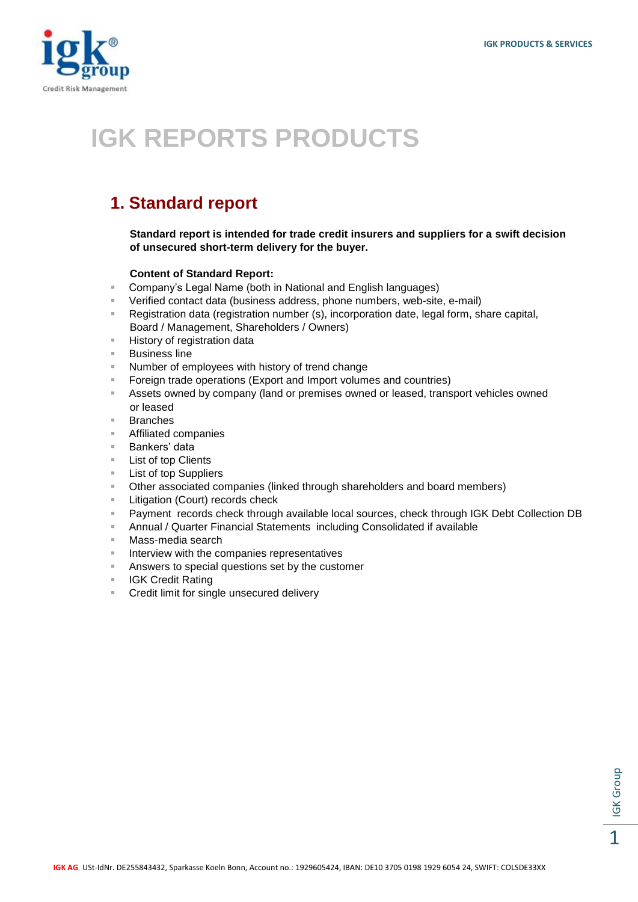

## **IGK REPORTS PRODUCTS**

## **1. Standard report**

**Standard report is intended for trade credit insurers and suppliers for a swift decision of unsecured short-term delivery for the buyer.**

## **Content of Standard Report:**

- Company's Legal Name (both in National and English languages)
- Verified contact data (business address, phone numbers, web-site, e-mail)
- Registration data (registration number (s), incorporation date, legal form, share capital, Board / Management, Shareholders / Owners)
- **History of registration data**
- Business line
- Number of employees with history of trend change
- **Foreign trade operations (Export and Import volumes and countries)**
- Assets owned by company (land or premises owned or leased, transport vehicles owned or leased
- Branches
- Affiliated companies
- Bankers' data
- **List of top Clients**
- **List of top Suppliers**
- Other associated companies (linked through shareholders and board members)
- **Litigation (Court) records check**
- Payment records check through available local sources, check through IGK Debt Collection DB
- Annual / Quarter Financial Statements including Consolidated if available
- Mass-media search
- Interview with the companies representatives
- **Answers to special questions set by the customer**
- **IGK Credit Rating**
- **EXECT** Credit limit for single unsecured delivery